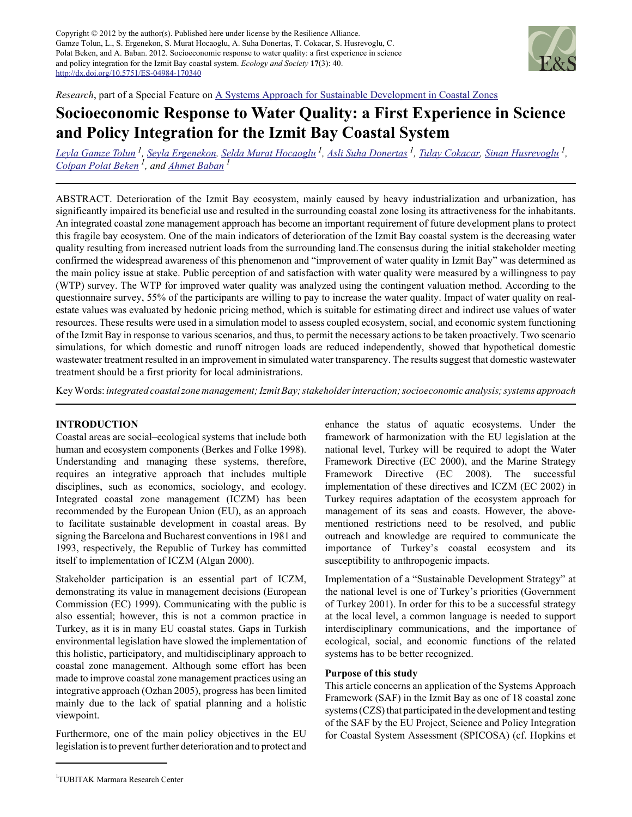Copyright © 2012 by the author(s). Published here under license by the Resilience Alliance. Gamze Tolun, L., S. Ergenekon, S. Murat Hocaoglu, A. Suha Donertas, T. Cokacar, S. Husrevoglu, C. Polat Beken, and A. Baban. 2012. Socioeconomic response to water quality: a first experience in science and policy integration for the Izmit Bay coastal system. *Ecology and Society* **17**(3): 40. http://dx.doi.org/10.5751/ES-04984-170340



*Research*, part of a Special Feature on A Systems Approach for Sustainable Development in Coastal Zones

# **Socioeconomic Response to Water Quality: a First Experience in Science and Policy Integration for the Izmit Bay Coastal System**

*Leyla Gamze Tolun<sup>1</sup> , Seyla Ergenekon, Selda Murat Hocaoglu<sup>1</sup> , Asli Suha Donertas<sup>1</sup> , Tulay Cokacar, Sinan Husrevoglu<sup>1</sup> , Colpan Polat Beken 1, and Ahmet Baban<sup>1</sup>*

ABSTRACT. Deterioration of the Izmit Bay ecosystem, mainly caused by heavy industrialization and urbanization, has significantly impaired its beneficial use and resulted in the surrounding coastal zone losing its attractiveness for the inhabitants. An integrated coastal zone management approach has become an important requirement of future development plans to protect this fragile bay ecosystem. One of the main indicators of deterioration of the Izmit Bay coastal system is the decreasing water quality resulting from increased nutrient loads from the surrounding land.The consensus during the initial stakeholder meeting confirmed the widespread awareness of this phenomenon and "improvement of water quality in Izmit Bay" was determined as the main policy issue at stake. Public perception of and satisfaction with water quality were measured by a willingness to pay (WTP) survey. The WTP for improved water quality was analyzed using the contingent valuation method. According to the questionnaire survey, 55% of the participants are willing to pay to increase the water quality. Impact of water quality on realestate values was evaluated by hedonic pricing method, which is suitable for estimating direct and indirect use values of water resources. These results were used in a simulation model to assess coupled ecosystem, social, and economic system functioning of the Izmit Bay in response to various scenarios, and thus, to permit the necessary actions to be taken proactively. Two scenario simulations, for which domestic and runoff nitrogen loads are reduced independently, showed that hypothetical domestic wastewater treatment resulted in an improvement in simulated water transparency. The results suggest that domestic wastewater treatment should be a first priority for local administrations.

Key Words: *integrated coastal zone management; Izmit Bay; stakeholder interaction; socioeconomic analysis; systems approach*

#### **INTRODUCTION**

Coastal areas are social–ecological systems that include both human and ecosystem components (Berkes and Folke 1998). Understanding and managing these systems, therefore, requires an integrative approach that includes multiple disciplines, such as economics, sociology, and ecology. Integrated coastal zone management (ICZM) has been recommended by the European Union (EU), as an approach to facilitate sustainable development in coastal areas. By signing the Barcelona and Bucharest conventions in 1981 and 1993, respectively, the Republic of Turkey has committed itself to implementation of ICZM (Algan 2000).

Stakeholder participation is an essential part of ICZM, demonstrating its value in management decisions (European Commission (EC) 1999). Communicating with the public is also essential; however, this is not a common practice in Turkey, as it is in many EU coastal states. Gaps in Turkish environmental legislation have slowed the implementation of this holistic, participatory, and multidisciplinary approach to coastal zone management. Although some effort has been made to improve coastal zone management practices using an integrative approach (Ozhan 2005), progress has been limited mainly due to the lack of spatial planning and a holistic viewpoint.

Furthermore, one of the main policy objectives in the EU legislation is to prevent further deterioration and to protect and enhance the status of aquatic ecosystems. Under the framework of harmonization with the EU legislation at the national level, Turkey will be required to adopt the Water Framework Directive (EC 2000), and the Marine Strategy Framework Directive (EC 2008). The successful implementation of these directives and ICZM (EC 2002) in Turkey requires adaptation of the ecosystem approach for management of its seas and coasts. However, the abovementioned restrictions need to be resolved, and public outreach and knowledge are required to communicate the importance of Turkey's coastal ecosystem and its susceptibility to anthropogenic impacts.

Implementation of a "Sustainable Development Strategy" at the national level is one of Turkey's priorities (Government of Turkey 2001). In order for this to be a successful strategy at the local level, a common language is needed to support interdisciplinary communications, and the importance of ecological, social, and economic functions of the related systems has to be better recognized.

#### **Purpose of this study**

This article concerns an application of the Systems Approach Framework (SAF) in the Izmit Bay as one of 18 coastal zone systems (CZS) that participated in the development and testing of the SAF by the EU Project, Science and Policy Integration for Coastal System Assessment (SPICOSA) (cf. Hopkins et

<sup>1</sup> TUBITAK Marmara Research Center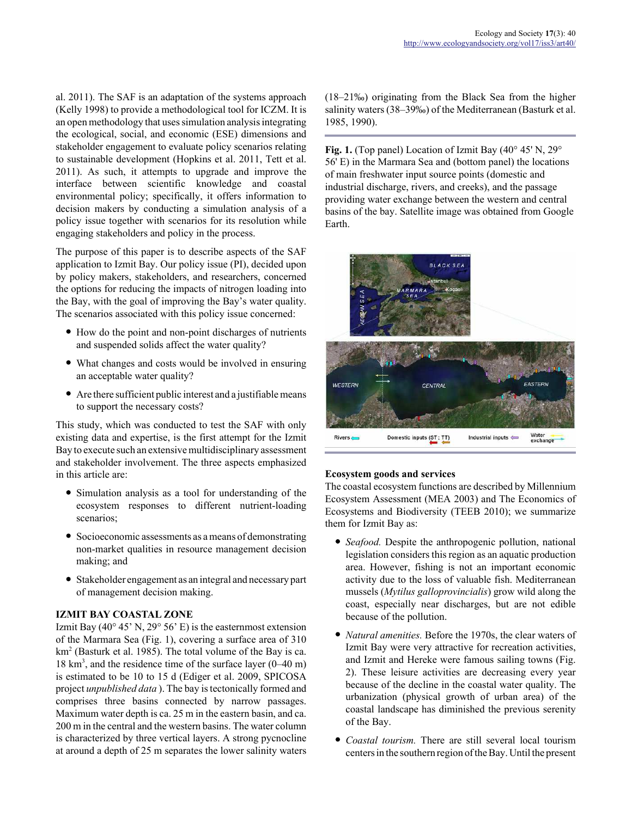al. 2011). The SAF is an adaptation of the systems approach (Kelly 1998) to provide a methodological tool for ICZM. It is an open methodology that uses simulation analysis integrating the ecological, social, and economic (ESE) dimensions and stakeholder engagement to evaluate policy scenarios relating to sustainable development (Hopkins et al. 2011, Tett et al. 2011). As such, it attempts to upgrade and improve the interface between scientific knowledge and coastal environmental policy; specifically, it offers information to decision makers by conducting a simulation analysis of a policy issue together with scenarios for its resolution while engaging stakeholders and policy in the process.

The purpose of this paper is to describe aspects of the SAF application to Izmit Bay. Our policy issue (PI), decided upon by policy makers, stakeholders, and researchers, concerned the options for reducing the impacts of nitrogen loading into the Bay, with the goal of improving the Bay's water quality. The scenarios associated with this policy issue concerned:

- How do the point and non-point discharges of nutrients and suspended solids affect the water quality?
- What changes and costs would be involved in ensuring an acceptable water quality?
- Are there sufficient public interest and a justifiable means to support the necessary costs?

This study, which was conducted to test the SAF with only existing data and expertise, is the first attempt for the Izmit Bay to execute such an extensive multidisciplinary assessment and stakeholder involvement. The three aspects emphasized in this article are:

- Simulation analysis as a tool for understanding of the ecosystem responses to different nutrient-loading scenarios;
- Socioeconomic assessments as a means of demonstrating non-market qualities in resource management decision making; and
- Stakeholder engagement as an integral and necessary part of management decision making.

# **IZMIT BAY COASTAL ZONE**

Izmit Bay (40 $\degree$  45' N, 29 $\degree$  56' E) is the easternmost extension of the Marmara Sea (Fig. 1), covering a surface area of 310 km<sup>2</sup> (Basturk et al. 1985). The total volume of the Bay is ca. 18 km<sup>3</sup>, and the residence time of the surface layer (0–40 m) is estimated to be 10 to 15 d (Ediger et al. 2009, SPICOSA project *unpublished data* ). The bay is tectonically formed and comprises three basins connected by narrow passages. Maximum water depth is ca. 25 m in the eastern basin, and ca. 200 m in the central and the western basins. The water column is characterized by three vertical layers. A strong pycnocline at around a depth of 25 m separates the lower salinity waters (18–21‰) originating from the Black Sea from the higher salinity waters (38–39‰) of the Mediterranean (Basturk et al. 1985, 1990).

**Fig. 1.** (Top panel) Location of Izmit Bay (40° 45' N, 29° 56' E) in the Marmara Sea and (bottom panel) the locations of main freshwater input source points (domestic and industrial discharge, rivers, and creeks), and the passage providing water exchange between the western and central basins of the bay. Satellite image was obtained from Google Earth.



# **Ecosystem goods and services**

The coastal ecosystem functions are described by Millennium Ecosystem Assessment (MEA 2003) and The Economics of Ecosystems and Biodiversity (TEEB 2010); we summarize them for Izmit Bay as:

- *Seafood.* Despite the anthropogenic pollution, national legislation considers this region as an aquatic production area. However, fishing is not an important economic activity due to the loss of valuable fish. Mediterranean mussels (*Mytilus galloprovincialis*) grow wild along the coast, especially near discharges, but are not edible because of the pollution.
- *Natural amenities.* Before the 1970s, the clear waters of Izmit Bay were very attractive for recreation activities, and Izmit and Hereke were famous sailing towns (Fig. 2). These leisure activities are decreasing every year because of the decline in the coastal water quality. The urbanization (physical growth of urban area) of the coastal landscape has diminished the previous serenity of the Bay.
- *Coastal tourism.* There are still several local tourism centers in the southern region of the Bay. Until the present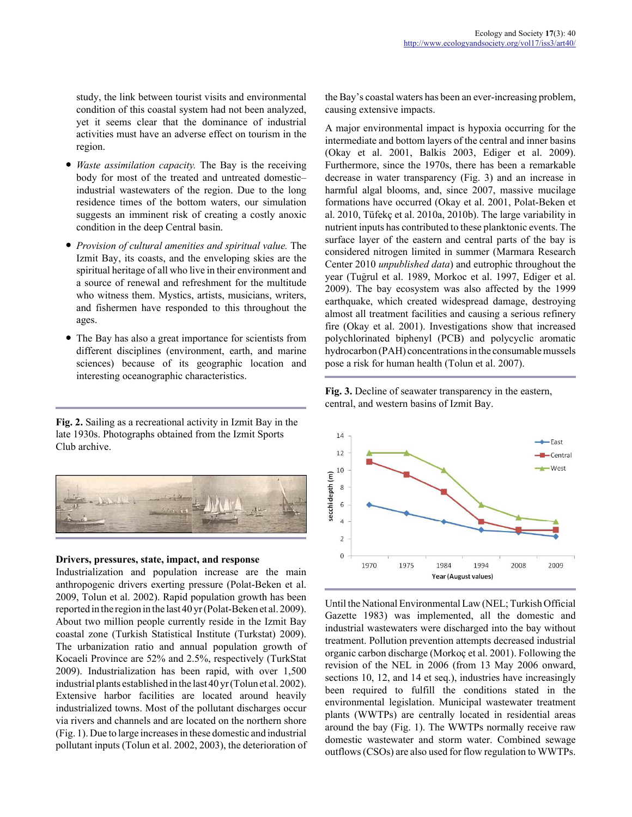study, the link between tourist visits and environmental condition of this coastal system had not been analyzed, yet it seems clear that the dominance of industrial activities must have an adverse effect on tourism in the region.

- *Waste assimilation capacity.* The Bay is the receiving body for most of the treated and untreated domestic– industrial wastewaters of the region. Due to the long residence times of the bottom waters, our simulation suggests an imminent risk of creating a costly anoxic condition in the deep Central basin.
- *Provision of cultural amenities and spiritual value.* The Izmit Bay, its coasts, and the enveloping skies are the spiritual heritage of all who live in their environment and a source of renewal and refreshment for the multitude who witness them. Mystics, artists, musicians, writers, and fishermen have responded to this throughout the ages.
- The Bay has also a great importance for scientists from different disciplines (environment, earth, and marine sciences) because of its geographic location and interesting oceanographic characteristics.

**Fig. 2.** Sailing as a recreational activity in Izmit Bay in the late 1930s. Photographs obtained from the Izmit Sports Club archive.



#### **Drivers, pressures, state, impact, and response**

Industrialization and population increase are the main anthropogenic drivers exerting pressure (Polat-Beken et al. 2009, Tolun et al. 2002). Rapid population growth has been reported in the region in the last 40 yr (Polat-Beken et al. 2009). About two million people currently reside in the Izmit Bay coastal zone (Turkish Statistical Institute (Turkstat) 2009). The urbanization ratio and annual population growth of Kocaeli Province are 52% and 2.5%, respectively (TurkStat 2009). Industrialization has been rapid, with over 1,500 industrial plants established in the last 40 yr (Tolun et al. 2002). Extensive harbor facilities are located around heavily industrialized towns. Most of the pollutant discharges occur via rivers and channels and are located on the northern shore (Fig. 1). Due to large increases in these domestic and industrial pollutant inputs (Tolun et al. 2002, 2003), the deterioration of the Bay's coastal waters has been an ever-increasing problem, causing extensive impacts.

A major environmental impact is hypoxia occurring for the intermediate and bottom layers of the central and inner basins (Okay et al. 2001, Balkis 2003, Ediger et al. 2009). Furthermore, since the 1970s, there has been a remarkable decrease in water transparency (Fig. 3) and an increase in harmful algal blooms, and, since 2007, massive mucilage formations have occurred (Okay et al. 2001, Polat-Beken et al. 2010, Tüfekç et al. 2010a, 2010b). The large variability in nutrient inputs has contributed to these planktonic events. The surface layer of the eastern and central parts of the bay is considered nitrogen limited in summer (Marmara Research Center 2010 *unpublished data*) and eutrophic throughout the year (Tugrul et al. 1989, Morkoc et al. 1997, Ediger et al. 2009). The bay ecosystem was also affected by the 1999 earthquake, which created widespread damage, destroying almost all treatment facilities and causing a serious refinery fire (Okay et al. 2001). Investigations show that increased polychlorinated biphenyl (PCB) and polycyclic aromatic hydrocarbon (PAH) concentrations in the consumable mussels pose a risk for human health (Tolun et al. 2007).





Until the National Environmental Law (NEL; Turkish Official Gazette 1983) was implemented, all the domestic and industrial wastewaters were discharged into the bay without treatment. Pollution prevention attempts decreased industrial organic carbon discharge (Morkoç et al. 2001). Following the revision of the NEL in 2006 (from 13 May 2006 onward, sections 10, 12, and 14 et seq.), industries have increasingly been required to fulfill the conditions stated in the environmental legislation. Municipal wastewater treatment plants (WWTPs) are centrally located in residential areas around the bay (Fig. 1). The WWTPs normally receive raw domestic wastewater and storm water. Combined sewage outflows (CSOs) are also used for flow regulation to WWTPs.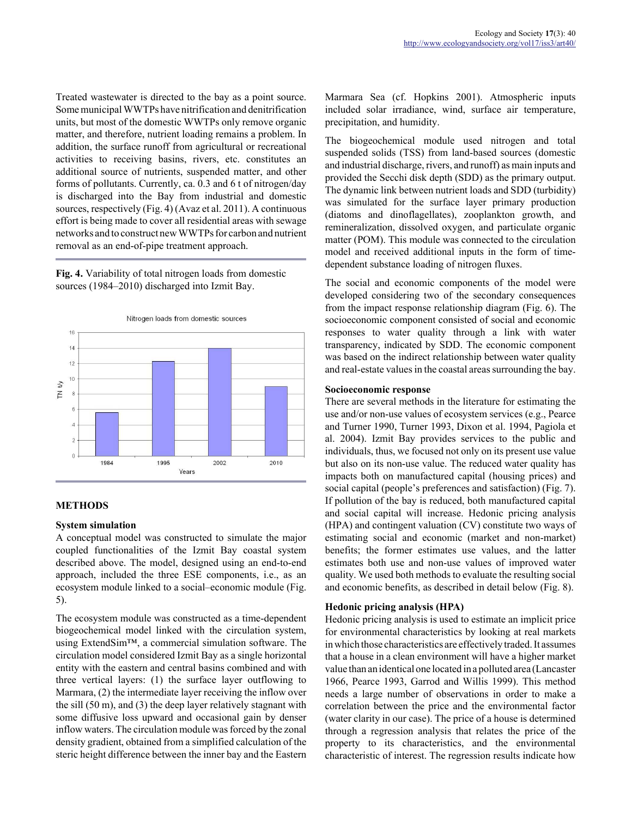Treated wastewater is directed to the bay as a point source. Some municipal WWTPs have nitrification and denitrification units, but most of the domestic WWTPs only remove organic matter, and therefore, nutrient loading remains a problem. In addition, the surface runoff from agricultural or recreational activities to receiving basins, rivers, etc. constitutes an additional source of nutrients, suspended matter, and other forms of pollutants. Currently, ca. 0.3 and 6 t of nitrogen/day is discharged into the Bay from industrial and domestic sources, respectively (Fig. 4) (Avaz et al. 2011). A continuous effort is being made to cover all residential areas with sewage networks and to construct new WWTPs for carbon and nutrient removal as an end-of-pipe treatment approach.

**Fig. 4.** Variability of total nitrogen loads from domestic sources (1984–2010) discharged into Izmit Bay.



# **METHODS**

#### **System simulation**

A conceptual model was constructed to simulate the major coupled functionalities of the Izmit Bay coastal system described above. The model, designed using an end-to-end approach, included the three ESE components, i.e., as an ecosystem module linked to a social–economic module (Fig. 5).

The ecosystem module was constructed as a time-dependent biogeochemical model linked with the circulation system, using ExtendSim™, a commercial simulation software. The circulation model considered Izmit Bay as a single horizontal entity with the eastern and central basins combined and with three vertical layers: (1) the surface layer outflowing to Marmara, (2) the intermediate layer receiving the inflow over the sill (50 m), and (3) the deep layer relatively stagnant with some diffusive loss upward and occasional gain by denser inflow waters. The circulation module was forced by the zonal density gradient, obtained from a simplified calculation of the steric height difference between the inner bay and the Eastern Marmara Sea (cf. Hopkins 2001). Atmospheric inputs included solar irradiance, wind, surface air temperature, precipitation, and humidity.

The biogeochemical module used nitrogen and total suspended solids (TSS) from land-based sources (domestic and industrial discharge, rivers, and runoff) as main inputs and provided the Secchi disk depth (SDD) as the primary output. The dynamic link between nutrient loads and SDD (turbidity) was simulated for the surface layer primary production (diatoms and dinoflagellates), zooplankton growth, and remineralization, dissolved oxygen, and particulate organic matter (POM). This module was connected to the circulation model and received additional inputs in the form of timedependent substance loading of nitrogen fluxes.

The social and economic components of the model were developed considering two of the secondary consequences from the impact response relationship diagram (Fig. 6). The socioeconomic component consisted of social and economic responses to water quality through a link with water transparency, indicated by SDD. The economic component was based on the indirect relationship between water quality and real-estate values in the coastal areas surrounding the bay.

## **Socioeconomic response**

There are several methods in the literature for estimating the use and/or non-use values of ecosystem services (e.g., Pearce and Turner 1990, Turner 1993, Dixon et al. 1994, Pagiola et al. 2004). Izmit Bay provides services to the public and individuals, thus, we focused not only on its present use value but also on its non-use value. The reduced water quality has impacts both on manufactured capital (housing prices) and social capital (people's preferences and satisfaction) (Fig. 7). If pollution of the bay is reduced, both manufactured capital and social capital will increase. Hedonic pricing analysis (HPA) and contingent valuation (CV) constitute two ways of estimating social and economic (market and non-market) benefits; the former estimates use values, and the latter estimates both use and non-use values of improved water quality. We used both methods to evaluate the resulting social and economic benefits, as described in detail below (Fig. 8).

# **Hedonic pricing analysis (HPA)**

Hedonic pricing analysis is used to estimate an implicit price for environmental characteristics by looking at real markets in which those characteristics are effectively traded. It assumes that a house in a clean environment will have a higher market value than an identical one located in a polluted area (Lancaster 1966, Pearce 1993, Garrod and Willis 1999). This method needs a large number of observations in order to make a correlation between the price and the environmental factor (water clarity in our case). The price of a house is determined through a regression analysis that relates the price of the property to its characteristics, and the environmental characteristic of interest. The regression results indicate how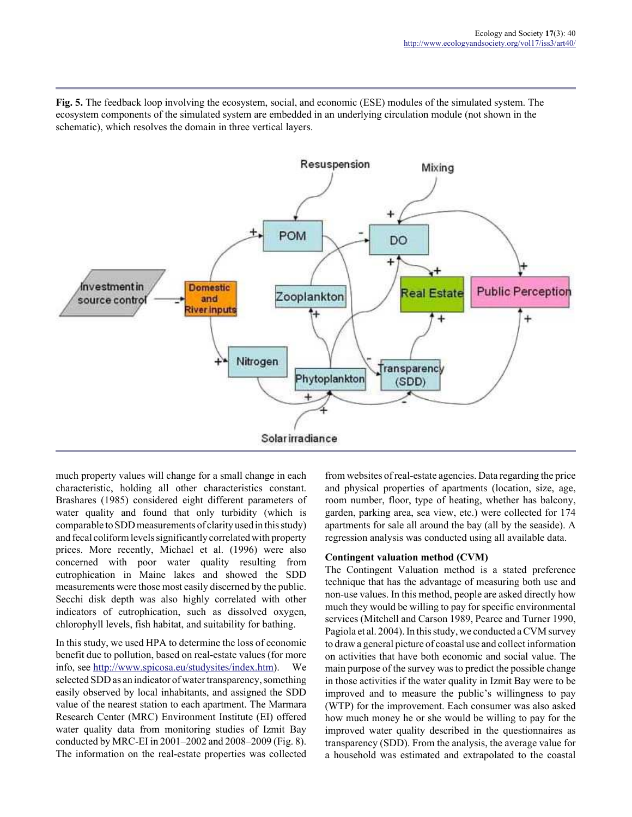**Fig. 5.** The feedback loop involving the ecosystem, social, and economic (ESE) modules of the simulated system. The ecosystem components of the simulated system are embedded in an underlying circulation module (not shown in the schematic), which resolves the domain in three vertical layers.



much property values will change for a small change in each characteristic, holding all other characteristics constant. Brashares (1985) considered eight different parameters of water quality and found that only turbidity (which is comparable to SDD measurements of clarity used in this study) and fecal coliform levels significantly correlated with property prices. More recently, Michael et al. (1996) were also concerned with poor water quality resulting from eutrophication in Maine lakes and showed the SDD measurements were those most easily discerned by the public. Secchi disk depth was also highly correlated with other indicators of eutrophication, such as dissolved oxygen, chlorophyll levels, fish habitat, and suitability for bathing.

In this study, we used HPA to determine the loss of economic benefit due to pollution, based on real-estate values (for more info, see http://www.spicosa.eu/studysites/index.htm). We selected SDD as an indicator of water transparency, something easily observed by local inhabitants, and assigned the SDD value of the nearest station to each apartment. The Marmara Research Center (MRC) Environment Institute (EI) offered water quality data from monitoring studies of Izmit Bay conducted by MRC-EI in 2001–2002 and 2008–2009 (Fig. 8). The information on the real-estate properties was collected from websites of real-estate agencies. Data regarding the price and physical properties of apartments (location, size, age, room number, floor, type of heating, whether has balcony, garden, parking area, sea view, etc.) were collected for 174 apartments for sale all around the bay (all by the seaside). A regression analysis was conducted using all available data.

# **Contingent valuation method (CVM)**

The Contingent Valuation method is a stated preference technique that has the advantage of measuring both use and non-use values. In this method, people are asked directly how much they would be willing to pay for specific environmental services (Mitchell and Carson 1989, Pearce and Turner 1990, Pagiola et al. 2004). In this study, we conducted a CVM survey to draw a general picture of coastal use and collect information on activities that have both economic and social value. The main purpose of the survey was to predict the possible change in those activities if the water quality in Izmit Bay were to be improved and to measure the public's willingness to pay (WTP) for the improvement. Each consumer was also asked how much money he or she would be willing to pay for the improved water quality described in the questionnaires as transparency (SDD). From the analysis, the average value for a household was estimated and extrapolated to the coastal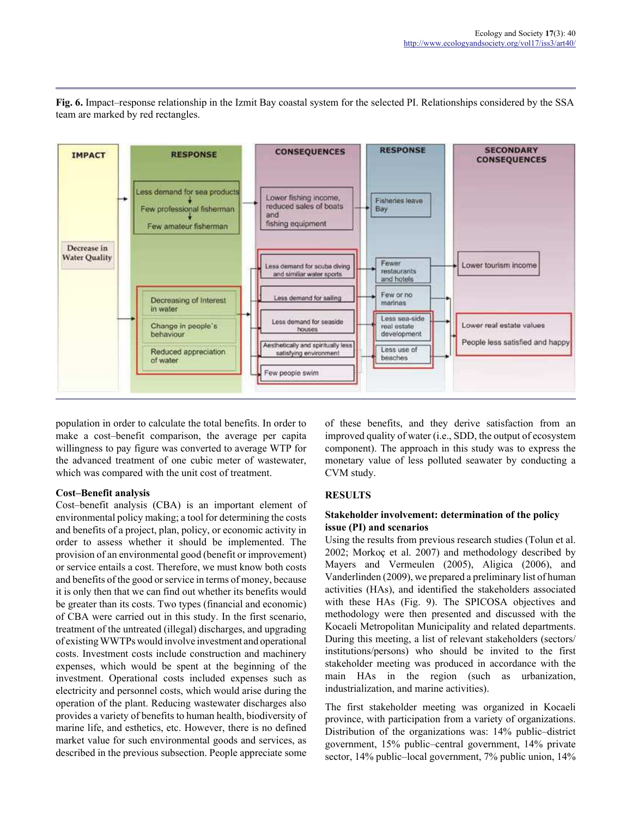

**Fig. 6.** Impact–response relationship in the Izmit Bay coastal system for the selected PI. Relationships considered by the SSA team are marked by red rectangles.

population in order to calculate the total benefits. In order to make a cost–benefit comparison, the average per capita willingness to pay figure was converted to average WTP for the advanced treatment of one cubic meter of wastewater, which was compared with the unit cost of treatment.

# **Cost–Benefit analysis**

Cost–benefit analysis (CBA) is an important element of environmental policy making; a tool for determining the costs and benefits of a project, plan, policy, or economic activity in order to assess whether it should be implemented. The provision of an environmental good (benefit or improvement) or service entails a cost. Therefore, we must know both costs and benefits of the good or service in terms of money, because it is only then that we can find out whether its benefits would be greater than its costs. Two types (financial and economic) of CBA were carried out in this study. In the first scenario, treatment of the untreated (illegal) discharges, and upgrading of existing WWTPs would involve investment and operational costs. Investment costs include construction and machinery expenses, which would be spent at the beginning of the investment. Operational costs included expenses such as electricity and personnel costs, which would arise during the operation of the plant. Reducing wastewater discharges also provides a variety of benefits to human health, biodiversity of marine life, and esthetics, etc. However, there is no defined market value for such environmental goods and services, as described in the previous subsection. People appreciate some

of these benefits, and they derive satisfaction from an improved quality of water (i.e., SDD, the output of ecosystem component). The approach in this study was to express the monetary value of less polluted seawater by conducting a CVM study.

# **RESULTS**

# **Stakeholder involvement: determination of the policy issue (PI) and scenarios**

Using the results from previous research studies (Tolun et al. 2002; Morkoç et al. 2007) and methodology described by Mayers and Vermeulen (2005), Aligica (2006), and Vanderlinden (2009), we prepared a preliminary list of human activities (HAs), and identified the stakeholders associated with these HAs (Fig. 9). The SPICOSA objectives and methodology were then presented and discussed with the Kocaeli Metropolitan Municipality and related departments. During this meeting, a list of relevant stakeholders (sectors/ institutions/persons) who should be invited to the first stakeholder meeting was produced in accordance with the main HAs in the region (such as urbanization, industrialization, and marine activities).

The first stakeholder meeting was organized in Kocaeli province, with participation from a variety of organizations. Distribution of the organizations was: 14% public–district government, 15% public–central government, 14% private sector, 14% public–local government, 7% public union, 14%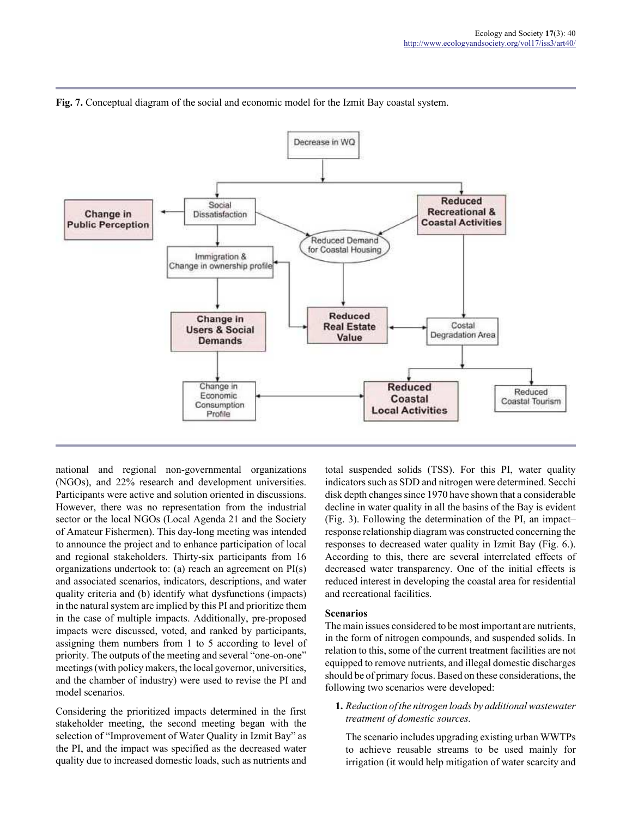

**Fig. 7.** Conceptual diagram of the social and economic model for the Izmit Bay coastal system.

national and regional non-governmental organizations (NGOs), and 22% research and development universities. Participants were active and solution oriented in discussions. However, there was no representation from the industrial sector or the local NGOs (Local Agenda 21 and the Society of Amateur Fishermen). This day-long meeting was intended to announce the project and to enhance participation of local and regional stakeholders. Thirty-six participants from 16 organizations undertook to: (a) reach an agreement on PI(s) and associated scenarios, indicators, descriptions, and water quality criteria and (b) identify what dysfunctions (impacts) in the natural system are implied by this PI and prioritize them in the case of multiple impacts. Additionally, pre-proposed impacts were discussed, voted, and ranked by participants, assigning them numbers from 1 to 5 according to level of priority. The outputs of the meeting and several "one-on-one" meetings (with policy makers, the local governor, universities, and the chamber of industry) were used to revise the PI and model scenarios.

Considering the prioritized impacts determined in the first stakeholder meeting, the second meeting began with the selection of "Improvement of Water Quality in Izmit Bay" as the PI, and the impact was specified as the decreased water quality due to increased domestic loads, such as nutrients and total suspended solids (TSS). For this PI, water quality indicators such as SDD and nitrogen were determined. Secchi disk depth changes since 1970 have shown that a considerable decline in water quality in all the basins of the Bay is evident (Fig. 3). Following the determination of the PI, an impact– response relationship diagram was constructed concerning the responses to decreased water quality in Izmit Bay (Fig. 6.). According to this, there are several interrelated effects of decreased water transparency. One of the initial effects is reduced interest in developing the coastal area for residential and recreational facilities.

#### **Scenarios**

The main issues considered to be most important are nutrients, in the form of nitrogen compounds, and suspended solids. In relation to this, some of the current treatment facilities are not equipped to remove nutrients, and illegal domestic discharges should be of primary focus. Based on these considerations, the following two scenarios were developed:

**1.** *Reduction of the nitrogen loads by additional wastewater treatment of domestic sources.*

The scenario includes upgrading existing urban WWTPs to achieve reusable streams to be used mainly for irrigation (it would help mitigation of water scarcity and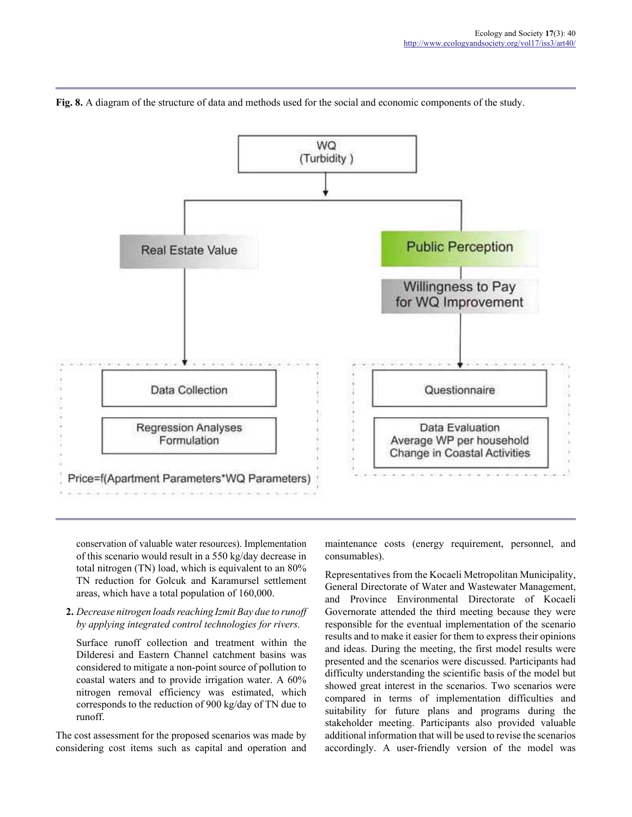

**Fig. 8.** A diagram of the structure of data and methods used for the social and economic components of the study.

conservation of valuable water resources). Implementation of this scenario would result in a 550 kg/day decrease in total nitrogen (TN) load, which is equivalent to an 80% TN reduction for Golcuk and Karamursel settlement areas, which have a total population of 160,000.

**2.** *Decrease nitrogen loads reaching Izmit Bay due to runoff by applying integrated control technologies for rivers.*

Surface runoff collection and treatment within the Dilderesi and Eastern Channel catchment basins was considered to mitigate a non-point source of pollution to coastal waters and to provide irrigation water. A 60% nitrogen removal efficiency was estimated, which corresponds to the reduction of 900 kg/day of TN due to runoff.

The cost assessment for the proposed scenarios was made by considering cost items such as capital and operation and maintenance costs (energy requirement, personnel, and consumables).

Representatives from the Kocaeli Metropolitan Municipality, General Directorate of Water and Wastewater Management, and Province Environmental Directorate of Kocaeli Governorate attended the third meeting because they were responsible for the eventual implementation of the scenario results and to make it easier for them to express their opinions and ideas. During the meeting, the first model results were presented and the scenarios were discussed. Participants had difficulty understanding the scientific basis of the model but showed great interest in the scenarios. Two scenarios were compared in terms of implementation difficulties and suitability for future plans and programs during the stakeholder meeting. Participants also provided valuable additional information that will be used to revise the scenarios accordingly. A user-friendly version of the model was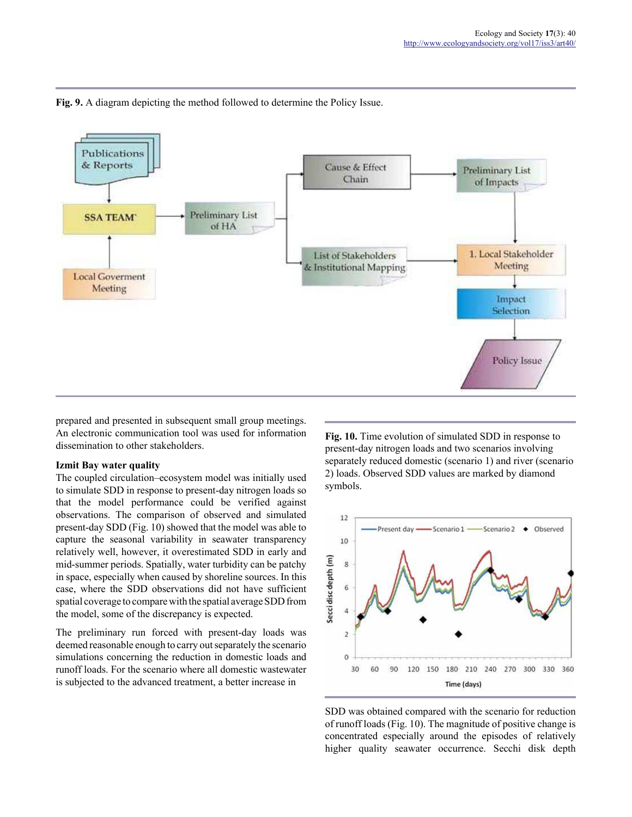

**Fig. 9.** A diagram depicting the method followed to determine the Policy Issue.

prepared and presented in subsequent small group meetings. An electronic communication tool was used for information dissemination to other stakeholders.

#### **Izmit Bay water quality**

The coupled circulation–ecosystem model was initially used to simulate SDD in response to present-day nitrogen loads so that the model performance could be verified against observations. The comparison of observed and simulated present-day SDD (Fig. 10) showed that the model was able to capture the seasonal variability in seawater transparency relatively well, however, it overestimated SDD in early and mid-summer periods. Spatially, water turbidity can be patchy in space, especially when caused by shoreline sources. In this case, where the SDD observations did not have sufficient spatial coverage to compare with the spatial average SDD from the model, some of the discrepancy is expected.

The preliminary run forced with present-day loads was deemed reasonable enough to carry out separately the scenario simulations concerning the reduction in domestic loads and runoff loads. For the scenario where all domestic wastewater is subjected to the advanced treatment, a better increase in

**Fig. 10.** Time evolution of simulated SDD in response to present-day nitrogen loads and two scenarios involving separately reduced domestic (scenario 1) and river (scenario 2) loads. Observed SDD values are marked by diamond symbols.



SDD was obtained compared with the scenario for reduction of runoff loads (Fig. 10). The magnitude of positive change is concentrated especially around the episodes of relatively higher quality seawater occurrence. Secchi disk depth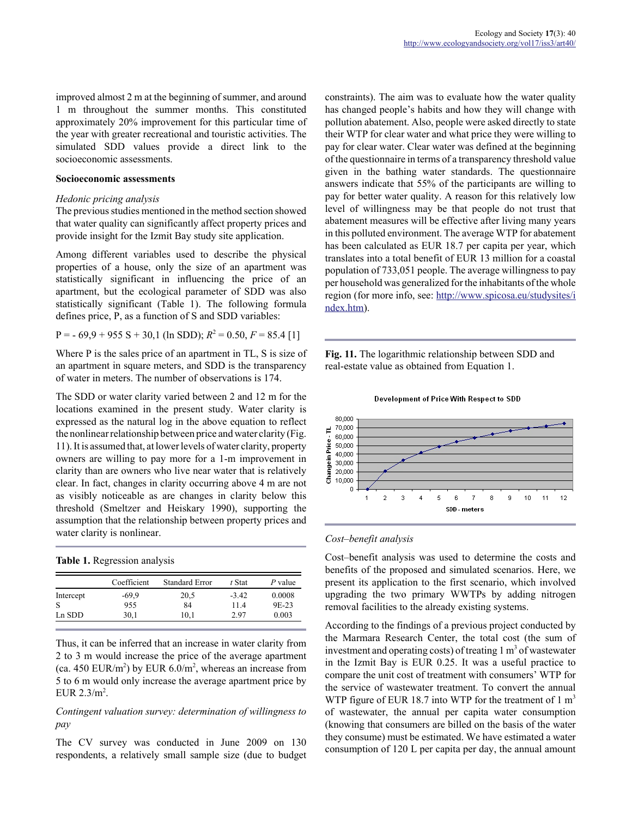improved almost 2 m at the beginning of summer, and around 1 m throughout the summer months. This constituted approximately 20% improvement for this particular time of the year with greater recreational and touristic activities. The simulated SDD values provide a direct link to the socioeconomic assessments.

#### **Socioeconomic assessments**

#### *Hedonic pricing analysis*

The previous studies mentioned in the method section showed that water quality can significantly affect property prices and provide insight for the Izmit Bay study site application.

Among different variables used to describe the physical properties of a house, only the size of an apartment was statistically significant in influencing the price of an apartment, but the ecological parameter of SDD was also statistically significant (Table 1). The following formula defines price, P, as a function of S and SDD variables:

 $P = -69.9 + 955 S + 30.1$  (ln SDD);  $R^2 = 0.50$ ,  $F = 85.4$  [1]

Where P is the sales price of an apartment in TL, S is size of an apartment in square meters, and SDD is the transparency of water in meters. The number of observations is 174.

The SDD or water clarity varied between 2 and 12 m for the locations examined in the present study. Water clarity is expressed as the natural log in the above equation to reflect the nonlinear relationship between price and water clarity (Fig. 11). It is assumed that, at lower levels of water clarity, property owners are willing to pay more for a 1-m improvement in clarity than are owners who live near water that is relatively clear. In fact, changes in clarity occurring above 4 m are not as visibly noticeable as are changes in clarity below this threshold (Smeltzer and Heiskary 1990), supporting the assumption that the relationship between property prices and water clarity is nonlinear.

|  | Table 1. Regression analysis |  |
|--|------------------------------|--|
|  |                              |  |

|              | Coefficient | <b>Standard Error</b> | t Stat  | P value |
|--------------|-------------|-----------------------|---------|---------|
| Intercept    | $-69.9$     | 20,5                  | $-3.42$ | 0.0008  |
| <sup>S</sup> | 955         | 84                    | 114     | 9E-23   |
| Ln SDD       | 30.1        | 10.1                  | 2.97    | 0.003   |

Thus, it can be inferred that an increase in water clarity from 2 to 3 m would increase the price of the average apartment (ca. 450 EUR/m<sup>2</sup>) by EUR  $6.0/m^2$ , whereas an increase from 5 to 6 m would only increase the average apartment price by EUR  $2.3/m^2$ .

# *Contingent valuation survey: determination of willingness to pay*

The CV survey was conducted in June 2009 on 130 respondents, a relatively small sample size (due to budget constraints). The aim was to evaluate how the water quality has changed people's habits and how they will change with pollution abatement. Also, people were asked directly to state their WTP for clear water and what price they were willing to pay for clear water. Clear water was defined at the beginning of the questionnaire in terms of a transparency threshold value given in the bathing water standards. The questionnaire answers indicate that 55% of the participants are willing to pay for better water quality. A reason for this relatively low level of willingness may be that people do not trust that abatement measures will be effective after living many years in this polluted environment. The average WTP for abatement has been calculated as EUR 18.7 per capita per year, which translates into a total benefit of EUR 13 million for a coastal population of 733,051 people. The average willingness to pay per household was generalized for the inhabitants of the whole region (for more info, see: http://www.spicosa.eu/studysites/i ndex.htm).

**Fig. 11.** The logarithmic relationship between SDD and real-estate value as obtained from Equation 1.



#### Development of Price With Respect to SDD

#### *Cost–benefit analysis*

Cost–benefit analysis was used to determine the costs and benefits of the proposed and simulated scenarios. Here, we present its application to the first scenario, which involved upgrading the two primary WWTPs by adding nitrogen removal facilities to the already existing systems.

According to the findings of a previous project conducted by the Marmara Research Center, the total cost (the sum of investment and operating costs) of treating  $1 \text{ m}^3$  of wastewater in the Izmit Bay is EUR 0.25. It was a useful practice to compare the unit cost of treatment with consumers' WTP for the service of wastewater treatment. To convert the annual WTP figure of EUR 18.7 into WTP for the treatment of  $1 \text{ m}^3$ of wastewater, the annual per capita water consumption (knowing that consumers are billed on the basis of the water they consume) must be estimated. We have estimated a water consumption of 120 L per capita per day, the annual amount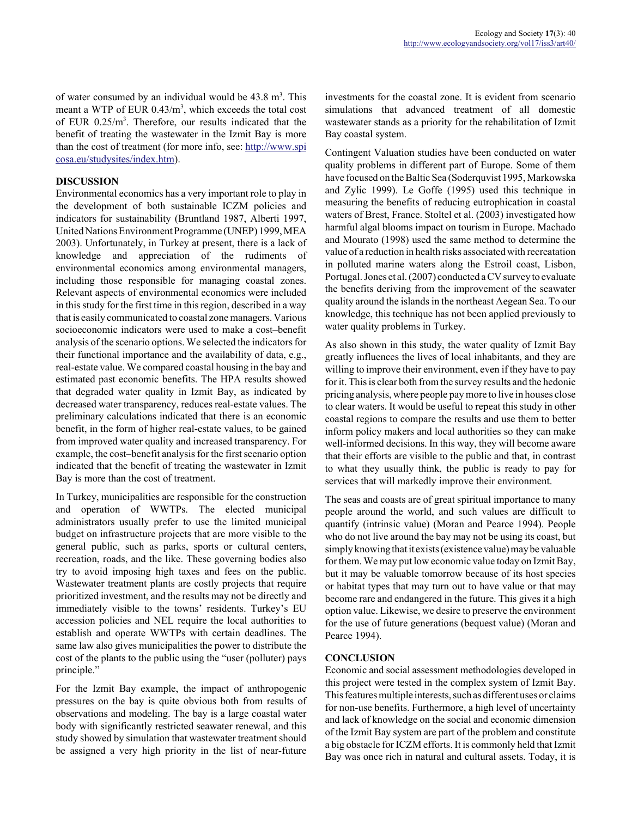of water consumed by an individual would be  $43.8 \text{ m}^3$ . This meant a WTP of EUR  $0.43/m<sup>3</sup>$ , which exceeds the total cost of EUR 0.25/m<sup>3</sup>. Therefore, our results indicated that the benefit of treating the wastewater in the Izmit Bay is more than the cost of treatment (for more info, see: http://www.spi cosa.eu/studysites/index.htm).

# **DISCUSSION**

Environmental economics has a very important role to play in the development of both sustainable ICZM policies and indicators for sustainability (Bruntland 1987, Alberti 1997, United Nations Environment Programme (UNEP) 1999, MEA 2003). Unfortunately, in Turkey at present, there is a lack of knowledge and appreciation of the rudiments of environmental economics among environmental managers, including those responsible for managing coastal zones. Relevant aspects of environmental economics were included in this study for the first time in this region, described in a way that is easily communicated to coastal zone managers. Various socioeconomic indicators were used to make a cost–benefit analysis of the scenario options. We selected the indicators for their functional importance and the availability of data, e.g., real-estate value. We compared coastal housing in the bay and estimated past economic benefits. The HPA results showed that degraded water quality in Izmit Bay, as indicated by decreased water transparency, reduces real-estate values. The preliminary calculations indicated that there is an economic benefit, in the form of higher real-estate values, to be gained from improved water quality and increased transparency. For example, the cost–benefit analysis for the first scenario option indicated that the benefit of treating the wastewater in Izmit Bay is more than the cost of treatment.

In Turkey, municipalities are responsible for the construction and operation of WWTPs. The elected municipal administrators usually prefer to use the limited municipal budget on infrastructure projects that are more visible to the general public, such as parks, sports or cultural centers, recreation, roads, and the like. These governing bodies also try to avoid imposing high taxes and fees on the public. Wastewater treatment plants are costly projects that require prioritized investment, and the results may not be directly and immediately visible to the towns' residents. Turkey's EU accession policies and NEL require the local authorities to establish and operate WWTPs with certain deadlines. The same law also gives municipalities the power to distribute the cost of the plants to the public using the "user (polluter) pays principle."

For the Izmit Bay example, the impact of anthropogenic pressures on the bay is quite obvious both from results of observations and modeling. The bay is a large coastal water body with significantly restricted seawater renewal, and this study showed by simulation that wastewater treatment should be assigned a very high priority in the list of near-future

investments for the coastal zone. It is evident from scenario simulations that advanced treatment of all domestic wastewater stands as a priority for the rehabilitation of Izmit Bay coastal system.

Contingent Valuation studies have been conducted on water quality problems in different part of Europe. Some of them have focused on the Baltic Sea (Soderquvist 1995, Markowska and Zylic 1999). Le Goffe (1995) used this technique in measuring the benefits of reducing eutrophication in coastal waters of Brest, France. Stoltel et al. (2003) investigated how harmful algal blooms impact on tourism in Europe. Machado and Mourato (1998) used the same method to determine the value of a reduction in health risks associated with recreatation in polluted marine waters along the Estroil coast, Lisbon, Portugal. Jones et al. (2007) conducted a CV survey to evaluate the benefits deriving from the improvement of the seawater quality around the islands in the northeast Aegean Sea. To our knowledge, this technique has not been applied previously to water quality problems in Turkey.

As also shown in this study, the water quality of Izmit Bay greatly influences the lives of local inhabitants, and they are willing to improve their environment, even if they have to pay for it. This is clear both from the survey results and the hedonic pricing analysis, where people pay more to live in houses close to clear waters. It would be useful to repeat this study in other coastal regions to compare the results and use them to better inform policy makers and local authorities so they can make well-informed decisions. In this way, they will become aware that their efforts are visible to the public and that, in contrast to what they usually think, the public is ready to pay for services that will markedly improve their environment.

The seas and coasts are of great spiritual importance to many people around the world, and such values are difficult to quantify (intrinsic value) (Moran and Pearce 1994). People who do not live around the bay may not be using its coast, but simply knowing that it exists (existence value) may be valuable for them. We may put low economic value today on Izmit Bay, but it may be valuable tomorrow because of its host species or habitat types that may turn out to have value or that may become rare and endangered in the future. This gives it a high option value. Likewise, we desire to preserve the environment for the use of future generations (bequest value) (Moran and Pearce 1994).

# **CONCLUSION**

Economic and social assessment methodologies developed in this project were tested in the complex system of Izmit Bay. This features multiple interests, such as different uses or claims for non-use benefits. Furthermore, a high level of uncertainty and lack of knowledge on the social and economic dimension of the Izmit Bay system are part of the problem and constitute a big obstacle for ICZM efforts. It is commonly held that Izmit Bay was once rich in natural and cultural assets. Today, it is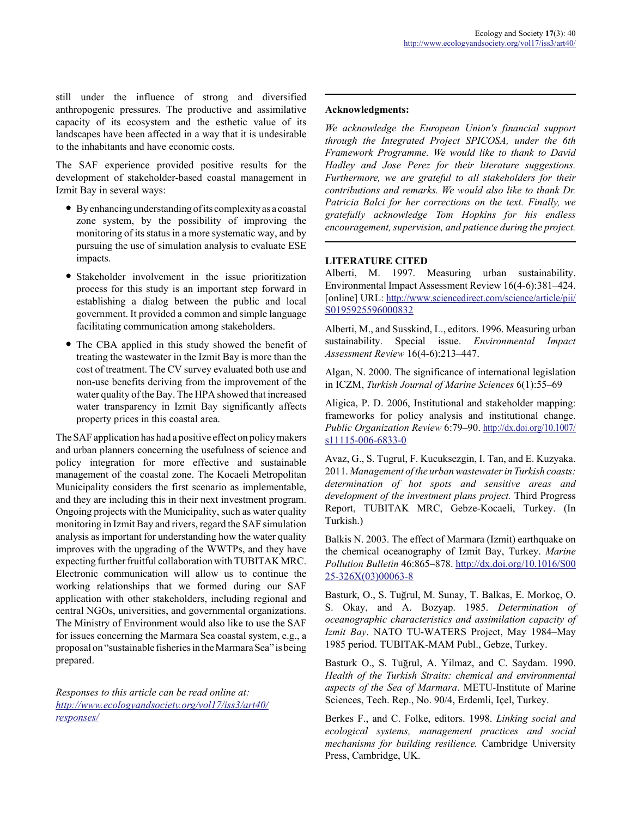still under the influence of strong and diversified anthropogenic pressures. The productive and assimilative capacity of its ecosystem and the esthetic value of its landscapes have been affected in a way that it is undesirable to the inhabitants and have economic costs.

The SAF experience provided positive results for the development of stakeholder-based coastal management in Izmit Bay in several ways:

- By enhancing understanding of its complexity as a coastal zone system, by the possibility of improving the monitoring of its status in a more systematic way, and by pursuing the use of simulation analysis to evaluate ESE impacts.
- Stakeholder involvement in the issue prioritization process for this study is an important step forward in establishing a dialog between the public and local government. It provided a common and simple language facilitating communication among stakeholders.
- The CBA applied in this study showed the benefit of treating the wastewater in the Izmit Bay is more than the cost of treatment. The CV survey evaluated both use and non-use benefits deriving from the improvement of the water quality of the Bay. The HPA showed that increased water transparency in Izmit Bay significantly affects property prices in this coastal area.

The SAF application has had a positive effect on policy makers and urban planners concerning the usefulness of science and policy integration for more effective and sustainable management of the coastal zone. The Kocaeli Metropolitan Municipality considers the first scenario as implementable, and they are including this in their next investment program. Ongoing projects with the Municipality, such as water quality monitoring in Izmit Bay and rivers, regard the SAF simulation analysis as important for understanding how the water quality improves with the upgrading of the WWTPs, and they have expecting further fruitful collaboration with TUBITAK MRC. Electronic communication will allow us to continue the working relationships that we formed during our SAF application with other stakeholders, including regional and central NGOs, universities, and governmental organizations. The Ministry of Environment would also like to use the SAF for issues concerning the Marmara Sea coastal system, e.g., a proposal on "sustainable fisheries in the Marmara Sea" is being prepared.

*Responses to this article can be read online at: http://www.ecologyandsociety.org/vol17/iss3/art40/ responses/*

## **Acknowledgments:**

*We acknowledge the European Union's financial support through the Integrated Project SPICOSA, under the 6th Framework Programme. We would like to thank to David Hadley and Jose Perez for their literature suggestions. Furthermore, we are grateful to all stakeholders for their contributions and remarks. We would also like to thank Dr. Patricia Balci for her corrections on the text. Finally, we gratefully acknowledge Tom Hopkins for his endless encouragement, supervision, and patience during the project.*

## **LITERATURE CITED**

Alberti, M. 1997. Measuring urban sustainability. Environmental Impact Assessment Review 16(4-6):381–424. [online] URL: http://www.sciencedirect.com/science/article/pii/ S0195925596000832

Alberti, M., and Susskind, L., editors. 1996. Measuring urban sustainability. Special issue. *Environmental Impact Assessment Review* 16(4-6):213–447.

Algan, N. 2000. The significance of international legislation in ICZM, *Turkish Journal of Marine Sciences* 6(1):55–69

Aligica, P. D. 2006, Institutional and stakeholder mapping: frameworks for policy analysis and institutional change. *Public Organization Review* 6:79–90. http://dx.doi.org/10.1007/ s11115-006-6833-0

Avaz, G., S. Tugrul, F. Kucuksezgin, I. Tan, and E. Kuzyaka. 2011. *Management of the urban wastewater in Turkish coasts: determination of hot spots and sensitive areas and development of the investment plans project.* Third Progress Report, TUBITAK MRC, Gebze-Kocaeli, Turkey. (In Turkish.)

Balkis N. 2003. The effect of Marmara (Izmit) earthquake on the chemical oceanography of Izmit Bay, Turkey. *Marine Pollution Bulletin* 46:865–878. http://dx.doi.org/10.1016/S00 25-326X(03)00063-8

Basturk, O., S. Tugrul, M. Sunay, T. Balkas, E. Morkoç, O. S. Okay, and A. Bozyap. 1985. *Determination of oceanographic characteristics and assimilation capacity of Izmit Bay*. NATO TU-WATERS Project, May 1984–May 1985 period. TUBITAK-MAM Publ., Gebze, Turkey.

Basturk O., S. Tugrul, A. Yilmaz, and C. Saydam. 1990. *Health of the Turkish Straits: chemical and environmental aspects of the Sea of Marmara*. METU-Institute of Marine Sciences, Tech. Rep., No. 90/4, Erdemli, Içel, Turkey.

Berkes F., and C. Folke, editors. 1998. *Linking social and ecological systems, management practices and social mechanisms for building resilience.* Cambridge University Press, Cambridge, UK.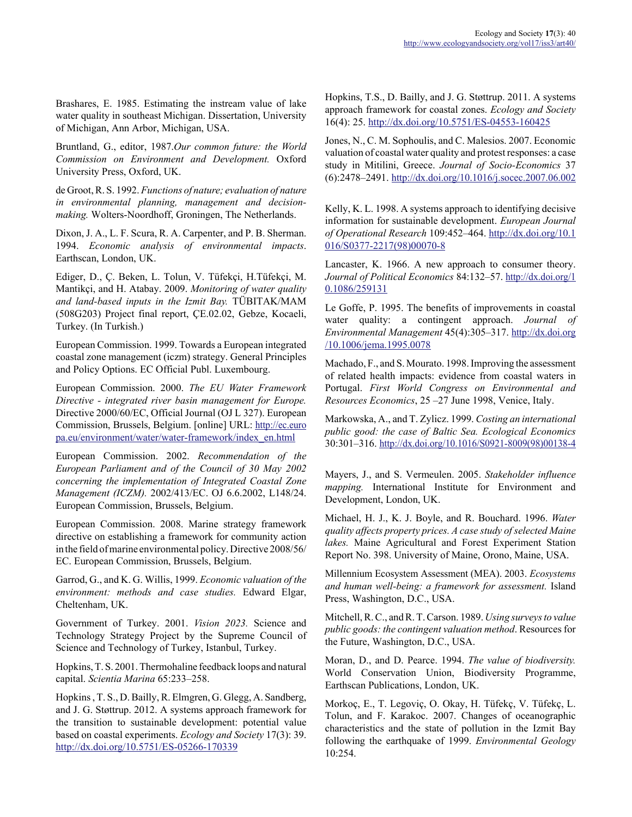Brashares, E. 1985. Estimating the instream value of lake water quality in southeast Michigan. Dissertation, University of Michigan, Ann Arbor, Michigan, USA.

Bruntland, G., editor, 1987.*Our common future: the World Commission on Environment and Development.* Oxford University Press, Oxford, UK.

de Groot, R. S. 1992. *Functions of nature; evaluation of nature in environmental planning, management and decisionmaking.* Wolters-Noordhoff, Groningen, The Netherlands.

Dixon, J. A., L. F. Scura, R. A. Carpenter, and P. B. Sherman. 1994. *Economic analysis of environmental impacts*. Earthscan, London, UK.

Ediger, D., Ç. Beken, L. Tolun, V. Tüfekçi, H.Tüfekçi, M. Mantikçi, and H. Atabay. 2009. *Monitoring of water quality and land-based inputs in the Izmit Bay.* TÜBITAK/MAM (508G203) Project final report, ÇE.02.02, Gebze, Kocaeli, Turkey. (In Turkish.)

European Commission. 1999. Towards a European integrated coastal zone management (iczm) strategy. General Principles and Policy Options. EC Official Publ. Luxembourg.

European Commission. 2000. *The EU Water Framework Directive - integrated river basin management for Europe.* Directive 2000/60/EC, Official Journal (OJ L 327). European Commission, Brussels, Belgium. [online] URL: http://ec.euro pa.eu/environment/water/water-framework/index\_en.html

European Commission. 2002. *Recommendation of the European Parliament and of the Council of 30 May 2002 concerning the implementation of Integrated Coastal Zone Management (ICZM).* 2002/413/EC. OJ 6.6.2002, L148/24. European Commission, Brussels, Belgium.

European Commission. 2008. Marine strategy framework directive on establishing a framework for community action in the field of marine environmental policy. Directive 2008/56/ EC. European Commission, Brussels, Belgium.

Garrod, G., and K. G. Willis, 1999. *Economic valuation of the environment: methods and case studies.* Edward Elgar, Cheltenham, UK.

Government of Turkey. 2001. *Vision 2023.* Science and Technology Strategy Project by the Supreme Council of Science and Technology of Turkey, Istanbul, Turkey.

Hopkins, T. S. 2001. Thermohaline feedback loops and natural capital. *Scientia Marina* 65:233–258.

Hopkins , T. S., D. Bailly, R. Elmgren, G. Glegg, A. Sandberg, and J. G. Støttrup. 2012. A systems approach framework for the transition to sustainable development: potential value based on coastal experiments. *Ecology and Society* 17(3): 39. http://dx.doi.org/10.5751/ES-05266-170339

Hopkins, T.S., D. Bailly, and J. G. Støttrup. 2011. A systems approach framework for coastal zones. *Ecology and Society* 16(4): 25. http://dx.doi.org/10.5751/ES-04553-160425

Jones, N., C. M. Sophoulis, and C. Malesios. 2007. Economic valuation of coastal water quality and protest responses: a case study in Mitilini, Greece. *Journal of Socio-Economics* 37 (6):2478–2491. http://dx.doi.org/10.1016/j.socec.2007.06.002

Kelly, K. L. 1998. A systems approach to identifying decisive information for sustainable development. *European Journal of Operational Research* 109:452–464. http://dx.doi.org/10.1 016/S0377-2217(98)00070-8

Lancaster, K. 1966. A new approach to consumer theory. *Journal of Political Economics* 84:132–57. http://dx.doi.org/1 0.1086/259131

Le Goffe, P. 1995. The benefits of improvements in coastal water quality: a contingent approach. *Journal of Environmental Management* 45(4):305–317. http://dx.doi.org /10.1006/jema.1995.0078

Machado, F., and S. Mourato. 1998. Improving the assessment of related health impacts: evidence from coastal waters in Portugal. *First World Congress on Environmental and Resources Economics*, 25 –27 June 1998, Venice, Italy.

Markowska, A., and T. Zylicz. 1999. *Costing an international public good: the case of Baltic Sea. Ecological Economics* 30:301–316. http://dx.doi.org/10.1016/S0921-8009(98)00138-4

Mayers, J., and S. Vermeulen. 2005. *Stakeholder influence mapping.* International Institute for Environment and Development, London, UK.

Michael, H. J., K. J. Boyle, and R. Bouchard. 1996. *Water quality affects property prices. A case study of selected Maine lakes.* Maine Agricultural and Forest Experiment Station Report No. 398. University of Maine, Orono, Maine, USA.

Millennium Ecosystem Assessment (MEA). 2003. *Ecosystems and human well-being: a framework for assessment.* Island Press, Washington, D.C., USA.

Mitchell, R. C., and R. T. Carson. 1989. *Using surveys to value public goods: the contingent valuation method*. Resources for the Future, Washington, D.C., USA.

Moran, D., and D. Pearce. 1994. *The value of biodiversity.* World Conservation Union, Biodiversity Programme, Earthscan Publications, London, UK.

Morkoç, E., T. Legoviç, O. Okay, H. Tüfekç, V. Tüfekç, L. Tolun, and F. Karakoc. 2007. Changes of oceanographic characteristics and the state of pollution in the Izmit Bay following the earthquake of 1999. *Environmental Geology* 10:254.